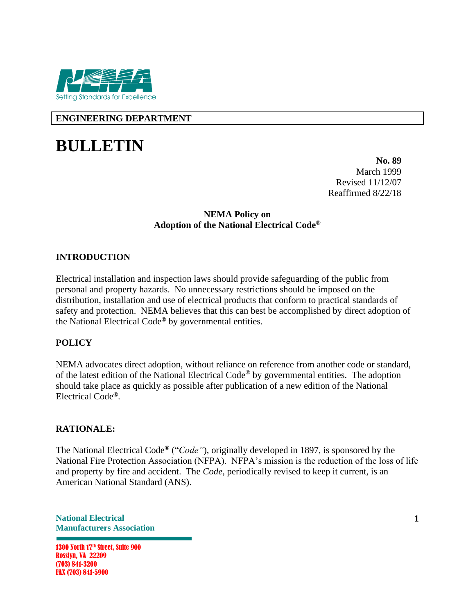

**ENGINEERING DEPARTMENT**

# **BULLETIN**

**No. 89** March 1999 Revised 11/12/07 Reaffirmed 8/22/18

#### **NEMA Policy on Adoption of the National Electrical Code®**

## **INTRODUCTION**

Electrical installation and inspection laws should provide safeguarding of the public from personal and property hazards. No unnecessary restrictions should be imposed on the distribution, installation and use of electrical products that conform to practical standards of safety and protection. NEMA believes that this can best be accomplished by direct adoption of the National Electrical Code**®** by governmental entities.

### **POLICY**

NEMA advocates direct adoption, without reliance on reference from another code or standard, of the latest edition of the National Electrical Code® by governmental entities. The adoption should take place as quickly as possible after publication of a new edition of the National Electrical Code**®**.

#### **RATIONALE:**

The National Electrical Code**®** ("*Code"*), originally developed in 1897, is sponsored by the National Fire Protection Association (NFPA). NFPA's mission is the reduction of the loss of life and property by fire and accident. The *Code*, periodically revised to keep it current, is an American National Standard (ANS).

**National Electrical Manufacturers Association**

1300 North 17<sup>th</sup> Street, Suite 900 Rosslyn, VA 22209 (703) 841-3200 FAX (703) 841-5900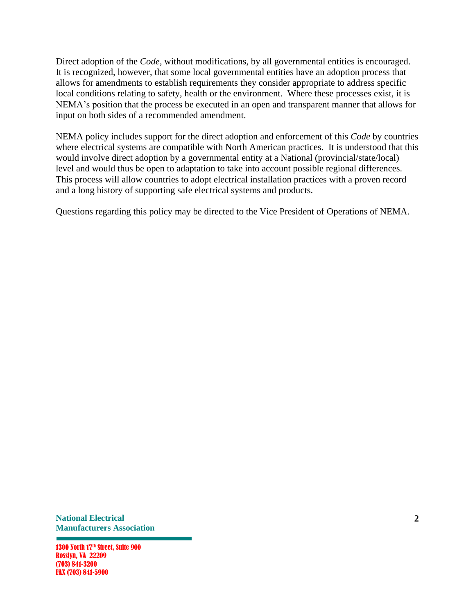Direct adoption of the *Code*, without modifications, by all governmental entities is encouraged. It is recognized, however, that some local governmental entities have an adoption process that allows for amendments to establish requirements they consider appropriate to address specific local conditions relating to safety, health or the environment. Where these processes exist, it is NEMA's position that the process be executed in an open and transparent manner that allows for input on both sides of a recommended amendment.

NEMA policy includes support for the direct adoption and enforcement of this *Code* by countries where electrical systems are compatible with North American practices. It is understood that this would involve direct adoption by a governmental entity at a National (provincial/state/local) level and would thus be open to adaptation to take into account possible regional differences. This process will allow countries to adopt electrical installation practices with a proven record and a long history of supporting safe electrical systems and products.

Questions regarding this policy may be directed to the Vice President of Operations of NEMA.

**National Electrical Manufacturers Association**

1300 North 17<sup>th</sup> Street, Suite 900 Rosslyn, VA 22209 (703) 841-3200 FAX (703) 841-5900